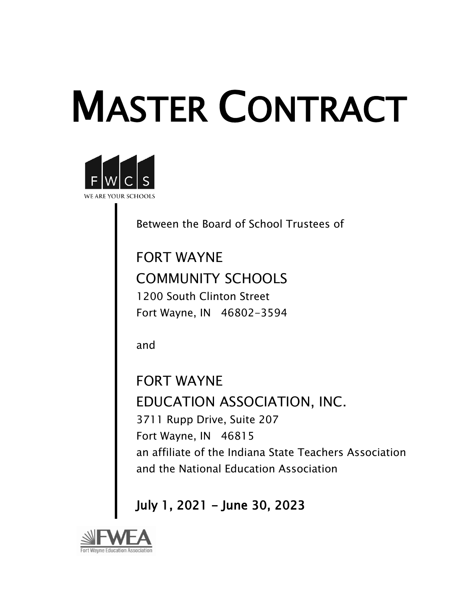# MASTER CONTRACT



Between the Board of School Trustees of

FORT WAYNE COMMUNITY SCHOOLS 1200 South Clinton Street Fort Wayne, IN 46802-3594

and

FORT WAYNE EDUCATION ASSOCIATION, INC. 3711 Rupp Drive, Suite 207 Fort Wayne, IN 46815 an affiliate of the Indiana State Teachers Association and the National Education Association

July 1, 2021 - June 30, 2023

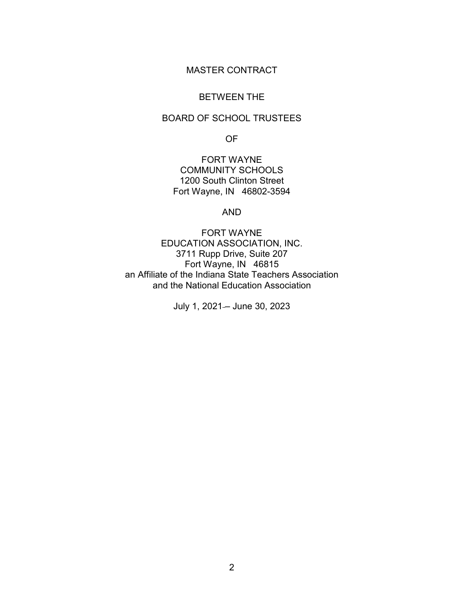# MASTER CONTRACT

#### BETWEEN THE

# BOARD OF SCHOOL TRUSTEES

OF

FORT WAYNE COMMUNITY SCHOOLS 1200 South Clinton Street Fort Wayne, IN 46802-3594

#### AND

FORT WAYNE EDUCATION ASSOCIATION, INC. 3711 Rupp Drive, Suite 207 Fort Wayne, IN 46815 an Affiliate of the Indiana State Teachers Association and the National Education Association

July 1, 2021- June 30, 2023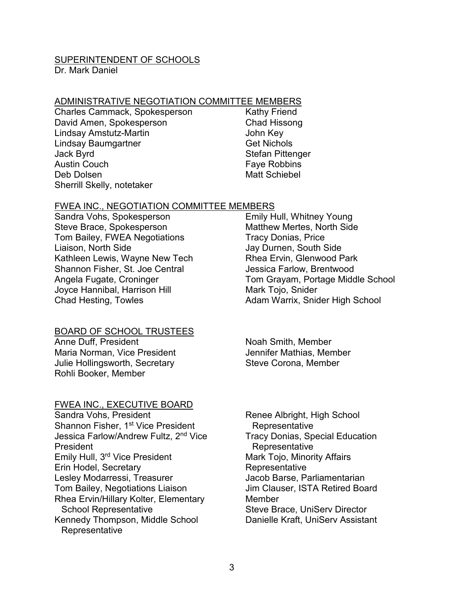#### SUPERINTENDENT OF SCHOOLS

Dr. Mark Daniel

#### ADMINISTRATIVE NEGOTIATION COMMITTEE MEMBERS

- Charles Cammack, Spokesperson David Amen, Spokesperson Lindsay Amstutz-Martin Lindsay Baumgartner Jack Byrd Austin Couch Deb Dolsen Sherrill Skelly, notetaker
- Kathy Friend Chad Hissong John Key Get Nichols Stefan Pittenger Faye Robbins Matt Schiebel

#### FWEA INC., NEGOTIATION COMMITTEE MEMBERS

Sandra Vohs, Spokesperson Steve Brace, Spokesperson Tom Bailey, FWEA Negotiations Liaison, North Side Kathleen Lewis, Wayne New Tech Shannon Fisher, St. Joe Central Angela Fugate, Croninger Joyce Hannibal, Harrison Hill Chad Hesting, Towles

#### BOARD OF SCHOOL TRUSTEES

Anne Duff, President Maria Norman, Vice President Julie Hollingsworth, Secretary Rohli Booker, Member

#### FWEA INC., EXECUTIVE BOARD

Sandra Vohs, President Shannon Fisher, 1<sup>st</sup> Vice President Jessica Farlow/Andrew Fultz, 2<sup>nd</sup> Vice President Emily Hull, 3rd Vice President Erin Hodel, Secretary Lesley Modarressi, Treasurer Tom Bailey, Negotiations Liaison Rhea Ervin/Hillary Kolter, Elementary School Representative Kennedy Thompson, Middle School **Representative** 

Emily Hull, Whitney Young Matthew Mertes, North Side Tracy Donias, Price Jay Durnen, South Side Rhea Ervin, Glenwood Park Jessica Farlow, Brentwood Tom Grayam, Portage Middle School Mark Tojo, Snider Adam Warrix, Snider High School

Noah Smith, Member Jennifer Mathias, Member Steve Corona, Member

Renee Albright, High School **Representative** Tracy Donias, Special Education **Representative** Mark Tojo, Minority Affairs **Representative** Jacob Barse, Parliamentarian Jim Clauser, ISTA Retired Board Member Steve Brace, UniServ Director Danielle Kraft, UniServ Assistant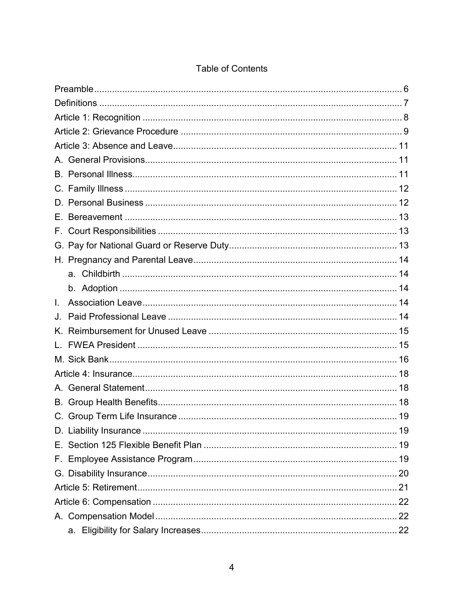| Е. |  |
|----|--|
| F. |  |
| G. |  |
|    |  |
|    |  |
|    |  |
| L. |  |
| J. |  |
|    |  |
|    |  |
|    |  |
|    |  |
|    |  |
|    |  |
|    |  |
|    |  |
|    |  |
|    |  |
|    |  |
|    |  |
|    |  |
|    |  |
|    |  |

# **Table of Contents**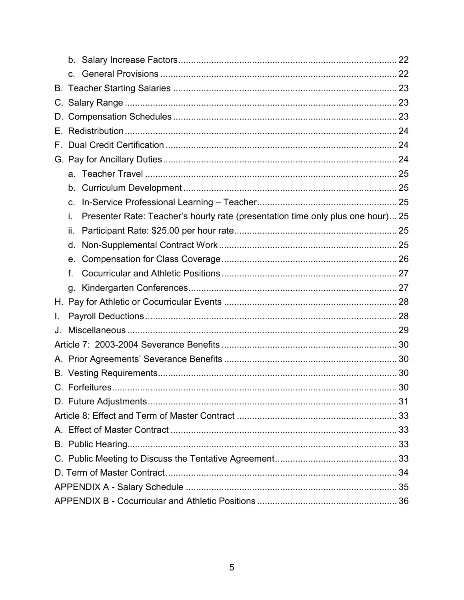| D. |                                                                                       |  |
|----|---------------------------------------------------------------------------------------|--|
| Е. |                                                                                       |  |
| F. |                                                                                       |  |
|    |                                                                                       |  |
|    |                                                                                       |  |
|    | b.                                                                                    |  |
|    | $C_{\cdot}$                                                                           |  |
|    | Presenter Rate: Teacher's hourly rate (presentation time only plus one hour) 25<br>i. |  |
|    | ii.                                                                                   |  |
|    | d.                                                                                    |  |
|    | е.                                                                                    |  |
|    | f.                                                                                    |  |
|    |                                                                                       |  |
|    |                                                                                       |  |
| L. |                                                                                       |  |
| J. |                                                                                       |  |
|    |                                                                                       |  |
|    |                                                                                       |  |
|    |                                                                                       |  |
|    |                                                                                       |  |
|    |                                                                                       |  |
|    |                                                                                       |  |
|    |                                                                                       |  |
|    |                                                                                       |  |
|    |                                                                                       |  |
|    |                                                                                       |  |
|    |                                                                                       |  |
|    |                                                                                       |  |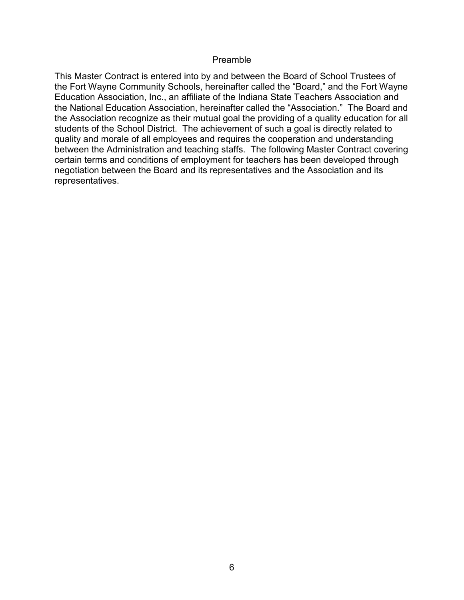#### Preamble

<span id="page-5-0"></span>This Master Contract is entered into by and between the Board of School Trustees of the Fort Wayne Community Schools, hereinafter called the "Board," and the Fort Wayne Education Association, Inc., an affiliate of the Indiana State Teachers Association and the National Education Association, hereinafter called the "Association." The Board and the Association recognize as their mutual goal the providing of a quality education for all students of the School District. The achievement of such a goal is directly related to quality and morale of all employees and requires the cooperation and understanding between the Administration and teaching staffs. The following Master Contract covering certain terms and conditions of employment for teachers has been developed through negotiation between the Board and its representatives and the Association and its representatives.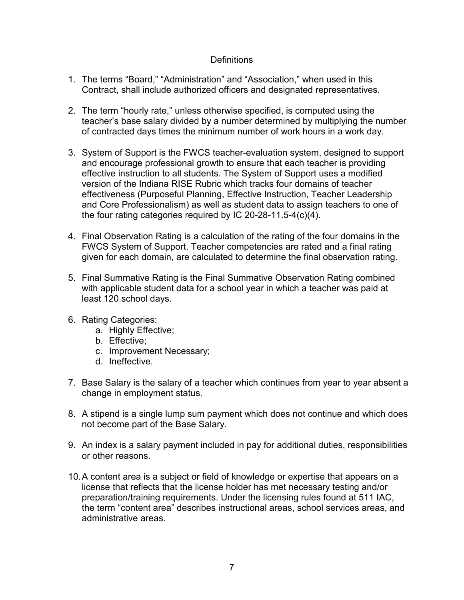## **Definitions**

- <span id="page-6-0"></span>1. The terms "Board," "Administration" and "Association," when used in this Contract, shall include authorized officers and designated representatives.
- 2. The term "hourly rate," unless otherwise specified, is computed using the teacher's base salary divided by a number determined by multiplying the number of contracted days times the minimum number of work hours in a work day.
- 3. System of Support is the FWCS teacher-evaluation system, designed to support and encourage professional growth to ensure that each teacher is providing effective instruction to all students. The System of Support uses a modified version of the Indiana RISE Rubric which tracks four domains of teacher effectiveness (Purposeful Planning, Effective Instruction, Teacher Leadership and Core Professionalism) as well as student data to assign teachers to one of the four rating categories required by IC 20-28-11.5-4(c)(4).
- 4. Final Observation Rating is a calculation of the rating of the four domains in the FWCS System of Support. Teacher competencies are rated and a final rating given for each domain, are calculated to determine the final observation rating.
- 5. Final Summative Rating is the Final Summative Observation Rating combined with applicable student data for a school year in which a teacher was paid at least 120 school days.
- 6. Rating Categories:
	- a. Highly Effective;
	- b. Effective;
	- c. Improvement Necessary;
	- d. Ineffective.
- 7. Base Salary is the salary of a teacher which continues from year to year absent a change in employment status.
- 8. A stipend is a single lump sum payment which does not continue and which does not become part of the Base Salary.
- 9. An index is a salary payment included in pay for additional duties, responsibilities or other reasons.
- 10.A content area is a subject or field of knowledge or expertise that appears on a license that reflects that the license holder has met necessary testing and/or preparation/training requirements. Under the licensing rules found at 511 IAC, the term "content area" describes instructional areas, school services areas, and administrative areas.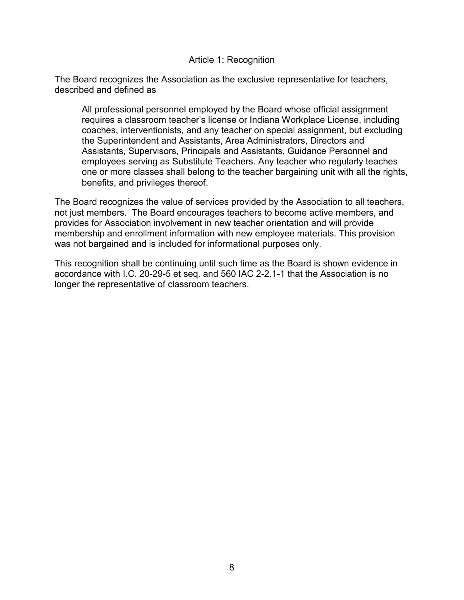#### Article 1: Recognition

<span id="page-7-0"></span>The Board recognizes the Association as the exclusive representative for teachers, described and defined as

All professional personnel employed by the Board whose official assignment requires a classroom teacher's license or Indiana Workplace License, including coaches, interventionists, and any teacher on special assignment, but excluding the Superintendent and Assistants, Area Administrators, Directors and Assistants, Supervisors, Principals and Assistants, Guidance Personnel and employees serving as Substitute Teachers. Any teacher who regularly teaches one or more classes shall belong to the teacher bargaining unit with all the rights, benefits, and privileges thereof.

The Board recognizes the value of services provided by the Association to all teachers, not just members. The Board encourages teachers to become active members, and provides for Association involvement in new teacher orientation and will provide membership and enrollment information with new employee materials. This provision was not bargained and is included for informational purposes only.

This recognition shall be continuing until such time as the Board is shown evidence in accordance with I.C. 20-29-5 et seq. and 560 IAC 2-2.1-1 that the Association is no longer the representative of classroom teachers.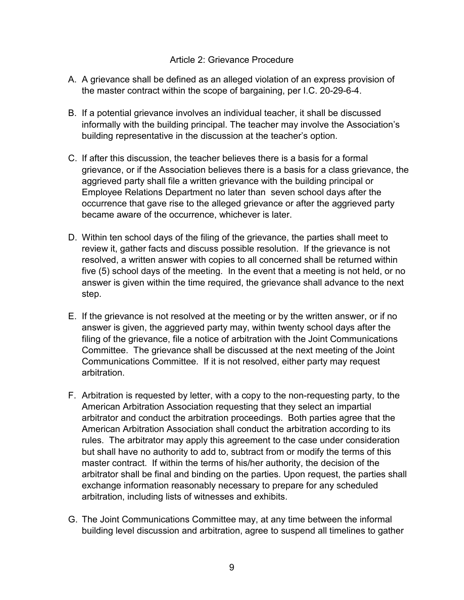#### Article 2: Grievance Procedure

- <span id="page-8-0"></span>A. A grievance shall be defined as an alleged violation of an express provision of the master contract within the scope of bargaining, per I.C. 20-29-6-4.
- B. If a potential grievance involves an individual teacher, it shall be discussed informally with the building principal. The teacher may involve the Association's building representative in the discussion at the teacher's option.
- C. If after this discussion, the teacher believes there is a basis for a formal grievance, or if the Association believes there is a basis for a class grievance, the aggrieved party shall file a written grievance with the building principal or Employee Relations Department no later than seven school days after the occurrence that gave rise to the alleged grievance or after the aggrieved party became aware of the occurrence, whichever is later.
- D. Within ten school days of the filing of the grievance, the parties shall meet to review it, gather facts and discuss possible resolution. If the grievance is not resolved, a written answer with copies to all concerned shall be returned within five (5) school days of the meeting. In the event that a meeting is not held, or no answer is given within the time required, the grievance shall advance to the next step.
- E. If the grievance is not resolved at the meeting or by the written answer, or if no answer is given, the aggrieved party may, within twenty school days after the filing of the grievance, file a notice of arbitration with the Joint Communications Committee. The grievance shall be discussed at the next meeting of the Joint Communications Committee. If it is not resolved, either party may request arbitration.
- F. Arbitration is requested by letter, with a copy to the non-requesting party, to the American Arbitration Association requesting that they select an impartial arbitrator and conduct the arbitration proceedings. Both parties agree that the American Arbitration Association shall conduct the arbitration according to its rules. The arbitrator may apply this agreement to the case under consideration but shall have no authority to add to, subtract from or modify the terms of this master contract. If within the terms of his/her authority, the decision of the arbitrator shall be final and binding on the parties. Upon request, the parties shall exchange information reasonably necessary to prepare for any scheduled arbitration, including lists of witnesses and exhibits.
- G. The Joint Communications Committee may, at any time between the informal building level discussion and arbitration, agree to suspend all timelines to gather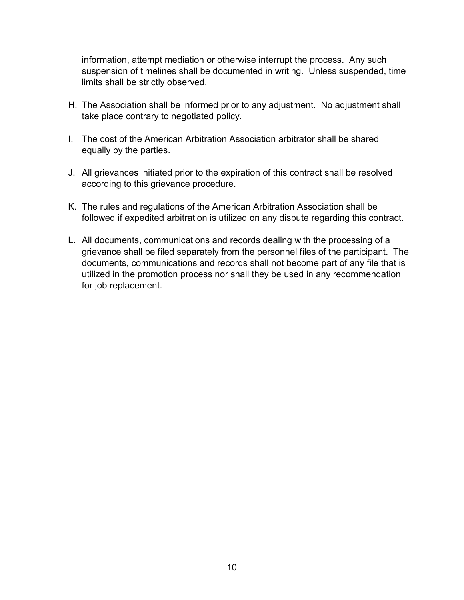information, attempt mediation or otherwise interrupt the process. Any such suspension of timelines shall be documented in writing. Unless suspended, time limits shall be strictly observed.

- H. The Association shall be informed prior to any adjustment. No adjustment shall take place contrary to negotiated policy.
- I. The cost of the American Arbitration Association arbitrator shall be shared equally by the parties.
- J. All grievances initiated prior to the expiration of this contract shall be resolved according to this grievance procedure.
- K. The rules and regulations of the American Arbitration Association shall be followed if expedited arbitration is utilized on any dispute regarding this contract.
- L. All documents, communications and records dealing with the processing of a grievance shall be filed separately from the personnel files of the participant. The documents, communications and records shall not become part of any file that is utilized in the promotion process nor shall they be used in any recommendation for job replacement.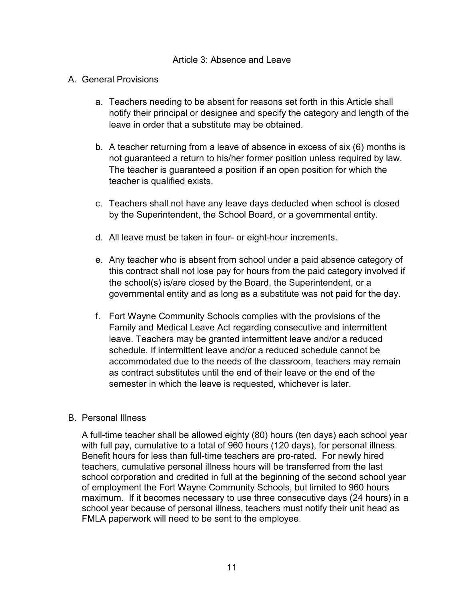#### Article 3: Absence and Leave

#### <span id="page-10-1"></span><span id="page-10-0"></span>A. General Provisions

- a. Teachers needing to be absent for reasons set forth in this Article shall notify their principal or designee and specify the category and length of the leave in order that a substitute may be obtained.
- b. A teacher returning from a leave of absence in excess of six (6) months is not guaranteed a return to his/her former position unless required by law. The teacher is guaranteed a position if an open position for which the teacher is qualified exists.
- c. Teachers shall not have any leave days deducted when school is closed by the Superintendent, the School Board, or a governmental entity.
- d. All leave must be taken in four- or eight-hour increments.
- e. Any teacher who is absent from school under a paid absence category of this contract shall not lose pay for hours from the paid category involved if the school(s) is/are closed by the Board, the Superintendent, or a governmental entity and as long as a substitute was not paid for the day.
- f. Fort Wayne Community Schools complies with the provisions of the Family and Medical Leave Act regarding consecutive and intermittent leave. Teachers may be granted intermittent leave and/or a reduced schedule. If intermittent leave and/or a reduced schedule cannot be accommodated due to the needs of the classroom, teachers may remain as contract substitutes until the end of their leave or the end of the semester in which the leave is requested, whichever is later.

#### <span id="page-10-2"></span>B. Personal Illness

A full-time teacher shall be allowed eighty (80) hours (ten days) each school year with full pay, cumulative to a total of 960 hours (120 days), for personal illness. Benefit hours for less than full-time teachers are pro-rated. For newly hired teachers, cumulative personal illness hours will be transferred from the last school corporation and credited in full at the beginning of the second school year of employment the Fort Wayne Community Schools, but limited to 960 hours maximum. If it becomes necessary to use three consecutive days (24 hours) in a school year because of personal illness, teachers must notify their unit head as FMLA paperwork will need to be sent to the employee.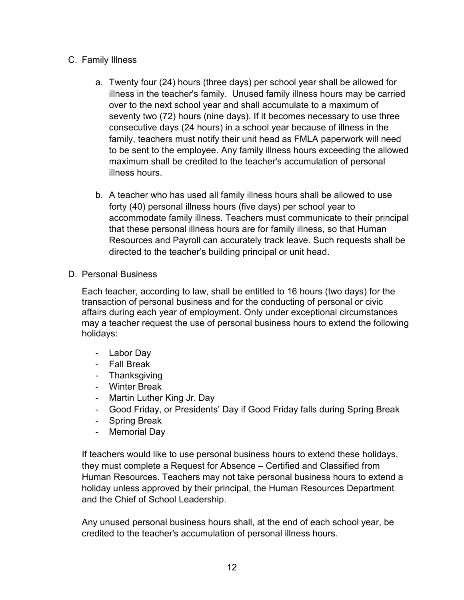# <span id="page-11-0"></span>C. Family Illness

- a. Twenty four (24) hours (three days) per school year shall be allowed for illness in the teacher's family. Unused family illness hours may be carried over to the next school year and shall accumulate to a maximum of seventy two (72) hours (nine days). If it becomes necessary to use three consecutive days (24 hours) in a school year because of illness in the family, teachers must notify their unit head as FMLA paperwork will need to be sent to the employee. Any family illness hours exceeding the allowed maximum shall be credited to the teacher's accumulation of personal illness hours.
- b. A teacher who has used all family illness hours shall be allowed to use forty (40) personal illness hours (five days) per school year to accommodate family illness. Teachers must communicate to their principal that these personal illness hours are for family illness, so that Human Resources and Payroll can accurately track leave. Such requests shall be directed to the teacher's building principal or unit head.
- <span id="page-11-1"></span>D. Personal Business

Each teacher, according to law, shall be entitled to 16 hours (two days) for the transaction of personal business and for the conducting of personal or civic affairs during each year of employment. Only under exceptional circumstances may a teacher request the use of personal business hours to extend the following holidays:

- Labor Day
- Fall Break
- Thanksgiving
- Winter Break
- Martin Luther King Jr. Day
- Good Friday, or Presidents' Day if Good Friday falls during Spring Break
- Spring Break
- Memorial Day

If teachers would like to use personal business hours to extend these holidays, they must complete a Request for Absence – Certified and Classified from Human Resources. Teachers may not take personal business hours to extend a holiday unless approved by their principal, the Human Resources Department and the Chief of School Leadership.

Any unused personal business hours shall, at the end of each school year, be credited to the teacher's accumulation of personal illness hours.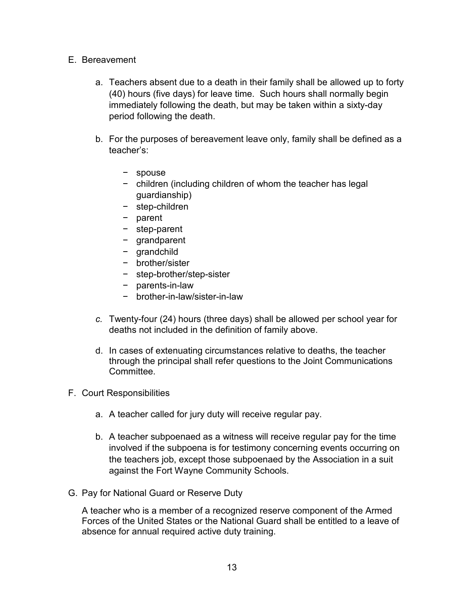- <span id="page-12-0"></span>E. Bereavement
	- a. Teachers absent due to a death in their family shall be allowed up to forty (40) hours (five days) for leave time. Such hours shall normally begin immediately following the death, but may be taken within a sixty-day period following the death.
	- b. For the purposes of bereavement leave only, family shall be defined as a teacher's:
		- − spouse
		- − children (including children of whom the teacher has legal guardianship)
		- − step-children
		- − parent
		- − step-parent
		- − grandparent
		- − grandchild
		- − brother/sister
		- − step-brother/step-sister
		- − parents-in-law
		- − brother-in-law/sister-in-law
	- *c.* Twenty-four (24) hours (three days) shall be allowed per school year for deaths not included in the definition of family above.
	- d. In cases of extenuating circumstances relative to deaths, the teacher through the principal shall refer questions to the Joint Communications Committee.
- <span id="page-12-1"></span>F. Court Responsibilities
	- a. A teacher called for jury duty will receive regular pay.
	- b. A teacher subpoenaed as a witness will receive regular pay for the time involved if the subpoena is for testimony concerning events occurring on the teachers job, except those subpoenaed by the Association in a suit against the Fort Wayne Community Schools.
- <span id="page-12-2"></span>G. Pay for National Guard or Reserve Duty

A teacher who is a member of a recognized reserve component of the Armed Forces of the United States or the National Guard shall be entitled to a leave of absence for annual required active duty training.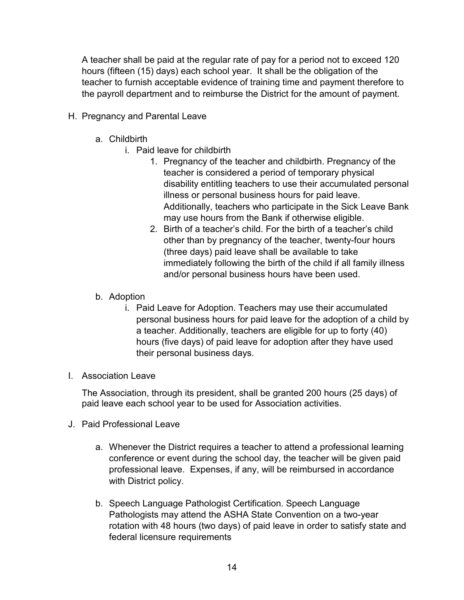A teacher shall be paid at the regular rate of pay for a period not to exceed 120 hours (fifteen (15) days) each school year. It shall be the obligation of the teacher to furnish acceptable evidence of training time and payment therefore to the payroll department and to reimburse the District for the amount of payment.

- <span id="page-13-1"></span><span id="page-13-0"></span>H. Pregnancy and Parental Leave
	- a. Childbirth
		- i. Paid leave for childbirth
			- 1. Pregnancy of the teacher and childbirth. Pregnancy of the teacher is considered a period of temporary physical disability entitling teachers to use their accumulated personal illness or personal business hours for paid leave. Additionally, teachers who participate in the Sick Leave Bank may use hours from the Bank if otherwise eligible.
			- 2. Birth of a teacher's child. For the birth of a teacher's child other than by pregnancy of the teacher, twenty-four hours (three days) paid leave shall be available to take immediately following the birth of the child if all family illness and/or personal business hours have been used.
	- b. Adoption
		- i. Paid Leave for Adoption. Teachers may use their accumulated personal business hours for paid leave for the adoption of a child by a teacher. Additionally, teachers are eligible for up to forty (40) hours (five days) of paid leave for adoption after they have used their personal business days.
- <span id="page-13-3"></span><span id="page-13-2"></span>I. Association Leave

The Association, through its president, shall be granted 200 hours (25 days) of paid leave each school year to be used for Association activities.

- <span id="page-13-4"></span>J. Paid Professional Leave
	- a. Whenever the District requires a teacher to attend a professional learning conference or event during the school day, the teacher will be given paid professional leave. Expenses, if any, will be reimbursed in accordance with District policy.
	- b. Speech Language Pathologist Certification. Speech Language Pathologists may attend the ASHA State Convention on a two-year rotation with 48 hours (two days) of paid leave in order to satisfy state and federal licensure requirements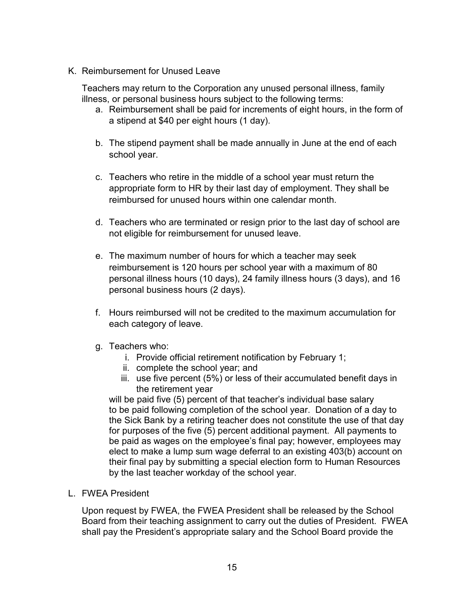<span id="page-14-0"></span>K. Reimbursement for Unused Leave

Teachers may return to the Corporation any unused personal illness, family illness, or personal business hours subject to the following terms:

- a. Reimbursement shall be paid for increments of eight hours, in the form of a stipend at \$40 per eight hours (1 day).
- b. The stipend payment shall be made annually in June at the end of each school year.
- c. Teachers who retire in the middle of a school year must return the appropriate form to HR by their last day of employment. They shall be reimbursed for unused hours within one calendar month.
- d. Teachers who are terminated or resign prior to the last day of school are not eligible for reimbursement for unused leave.
- e. The maximum number of hours for which a teacher may seek reimbursement is 120 hours per school year with a maximum of 80 personal illness hours (10 days), 24 family illness hours (3 days), and 16 personal business hours (2 days).
- f. Hours reimbursed will not be credited to the maximum accumulation for each category of leave.
- g. Teachers who:
	- i. Provide official retirement notification by February 1;
	- ii. complete the school year; and
	- iii. use five percent (5%) or less of their accumulated benefit days in the retirement year

will be paid five (5) percent of that teacher's individual base salary to be paid following completion of the school year. Donation of a day to the Sick Bank by a retiring teacher does not constitute the use of that day for purposes of the five (5) percent additional payment. All payments to be paid as wages on the employee's final pay; however, employees may elect to make a lump sum wage deferral to an existing 403(b) account on their final pay by submitting a special election form to Human Resources by the last teacher workday of the school year.

<span id="page-14-1"></span>L. FWEA President

Upon request by FWEA, the FWEA President shall be released by the School Board from their teaching assignment to carry out the duties of President. FWEA shall pay the President's appropriate salary and the School Board provide the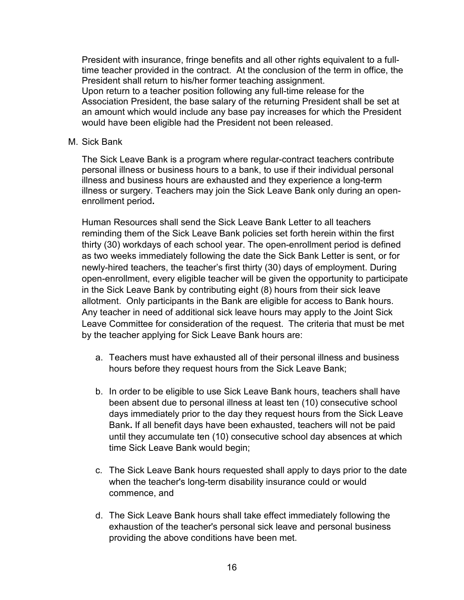President with insurance, fringe benefits and all other rights equivalent to a fulltime teacher provided in the contract. At the conclusion of the term in office, the President shall return to his/her former teaching assignment. Upon return to a teacher position following any full-time release for the

Association President, the base salary of the returning President shall be set at an amount which would include any base pay increases for which the President would have been eligible had the President not been released.

#### <span id="page-15-0"></span>M. Sick Bank

The Sick Leave Bank is a program where regular-contract teachers contribute personal illness or business hours to a bank, to use if their individual personal illness and business hours are exhausted and they experience a long-te**r**m illness or surgery. Teachers may join the Sick Leave Bank only during an openenrollment period**.**

Human Resources shall send the Sick Leave Bank Letter to all teachers reminding them of the Sick Leave Bank policies set forth herein within the first thirty (30) workdays of each school year. The open-enrollment period is defined as two weeks immediately following the date the Sick Bank Letter is sent, or for newly-hired teachers, the teacher's first thirty (30) days of employment. During open-enrollment, every eligible teacher will be given the opportunity to participate in the Sick Leave Bank by contributing eight (8) hours from their sick leave allotment. Only participants in the Bank are eligible for access to Bank hours. Any teacher in need of additional sick leave hours may apply to the Joint Sick Leave Committee for consideration of the request. The criteria that must be met by the teacher applying for Sick Leave Bank hours are:

- a. Teachers must have exhausted all of their personal illness and business hours before they request hours from the Sick Leave Bank;
- b. In order to be eligible to use Sick Leave Bank hours, teachers shall have been absent due to personal illness at least ten (10) consecutive school days immediately prior to the day they request hours from the Sick Leave Bank**.** If all benefit days have been exhausted, teachers will not be paid until they accumulate ten (10) consecutive school day absences at which time Sick Leave Bank would begin;
- c. The Sick Leave Bank hours requested shall apply to days prior to the date when the teacher's long-term disability insurance could or would commence, and
- d. The Sick Leave Bank hours shall take effect immediately following the exhaustion of the teacher's personal sick leave and personal business providing the above conditions have been met.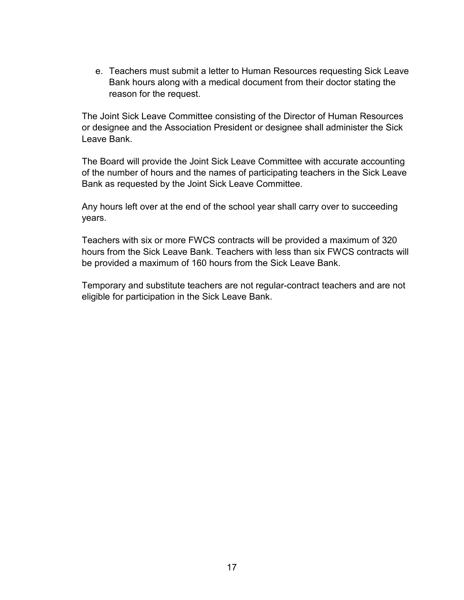e. Teachers must submit a letter to Human Resources requesting Sick Leave Bank hours along with a medical document from their doctor stating the reason for the request.

The Joint Sick Leave Committee consisting of the Director of Human Resources or designee and the Association President or designee shall administer the Sick Leave Bank.

The Board will provide the Joint Sick Leave Committee with accurate accounting of the number of hours and the names of participating teachers in the Sick Leave Bank as requested by the Joint Sick Leave Committee.

Any hours left over at the end of the school year shall carry over to succeeding years.

Teachers with six or more FWCS contracts will be provided a maximum of 320 hours from the Sick Leave Bank. Teachers with less than six FWCS contracts will be provided a maximum of 160 hours from the Sick Leave Bank.

Temporary and substitute teachers are not regular-contract teachers and are not eligible for participation in the Sick Leave Bank.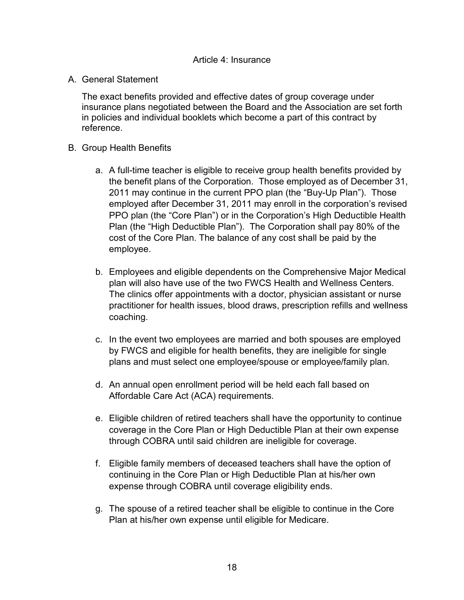<span id="page-17-1"></span><span id="page-17-0"></span>A. General Statement

The exact benefits provided and effective dates of group coverage under insurance plans negotiated between the Board and the Association are set forth in policies and individual booklets which become a part of this contract by reference.

- <span id="page-17-2"></span>B. Group Health Benefits
	- a. A full-time teacher is eligible to receive group health benefits provided by the benefit plans of the Corporation. Those employed as of December 31, 2011 may continue in the current PPO plan (the "Buy-Up Plan"). Those employed after December 31, 2011 may enroll in the corporation's revised PPO plan (the "Core Plan") or in the Corporation's High Deductible Health Plan (the "High Deductible Plan"). The Corporation shall pay 80% of the cost of the Core Plan. The balance of any cost shall be paid by the employee.
	- b. Employees and eligible dependents on the Comprehensive Major Medical plan will also have use of the two FWCS Health and Wellness Centers. The clinics offer appointments with a doctor, physician assistant or nurse practitioner for health issues, blood draws, prescription refills and wellness coaching.
	- c. In the event two employees are married and both spouses are employed by FWCS and eligible for health benefits, they are ineligible for single plans and must select one employee/spouse or employee/family plan.
	- d. An annual open enrollment period will be held each fall based on Affordable Care Act (ACA) requirements.
	- e. Eligible children of retired teachers shall have the opportunity to continue coverage in the Core Plan or High Deductible Plan at their own expense through COBRA until said children are ineligible for coverage.
	- f. Eligible family members of deceased teachers shall have the option of continuing in the Core Plan or High Deductible Plan at his/her own expense through COBRA until coverage eligibility ends.
	- g. The spouse of a retired teacher shall be eligible to continue in the Core Plan at his/her own expense until eligible for Medicare.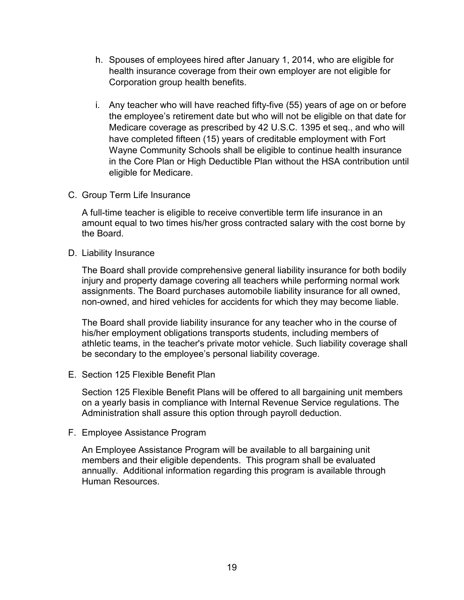- h. Spouses of employees hired after January 1, 2014, who are eligible for health insurance coverage from their own employer are not eligible for Corporation group health benefits.
- i. Any teacher who will have reached fifty-five (55) years of age on or before the employee's retirement date but who will not be eligible on that date for Medicare coverage as prescribed by 42 U.S.C. 1395 et seq., and who will have completed fifteen (15) years of creditable employment with Fort Wayne Community Schools shall be eligible to continue health insurance in the Core Plan or High Deductible Plan without the HSA contribution until eligible for Medicare.
- <span id="page-18-0"></span>C. Group Term Life Insurance

A full-time teacher is eligible to receive convertible term life insurance in an amount equal to two times his/her gross contracted salary with the cost borne by the Board.

<span id="page-18-1"></span>D. Liability Insurance

The Board shall provide comprehensive general liability insurance for both bodily injury and property damage covering all teachers while performing normal work assignments. The Board purchases automobile liability insurance for all owned, non-owned, and hired vehicles for accidents for which they may become liable.

The Board shall provide liability insurance for any teacher who in the course of his/her employment obligations transports students, including members of athletic teams, in the teacher's private motor vehicle. Such liability coverage shall be secondary to the employee's personal liability coverage.

<span id="page-18-2"></span>E. Section 125 Flexible Benefit Plan

Section 125 Flexible Benefit Plans will be offered to all bargaining unit members on a yearly basis in compliance with Internal Revenue Service regulations. The Administration shall assure this option through payroll deduction.

<span id="page-18-3"></span>F. Employee Assistance Program

An Employee Assistance Program will be available to all bargaining unit members and their eligible dependents. This program shall be evaluated annually. Additional information regarding this program is available through Human Resources.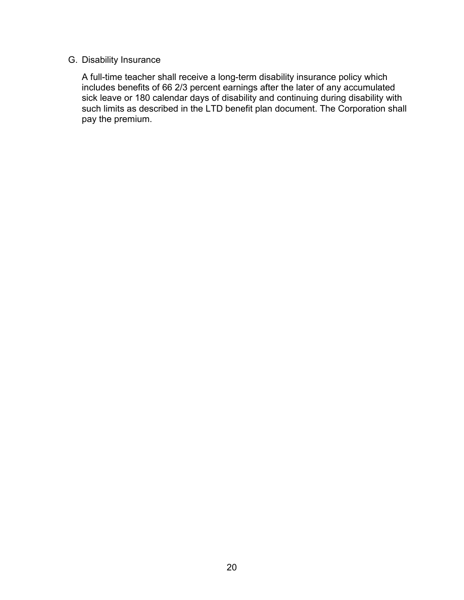## <span id="page-19-0"></span>G. Disability Insurance

A full-time teacher shall receive a long-term disability insurance policy which includes benefits of 66 2/3 percent earnings after the later of any accumulated sick leave or 180 calendar days of disability and continuing during disability with such limits as described in the LTD benefit plan document. The Corporation shall pay the premium.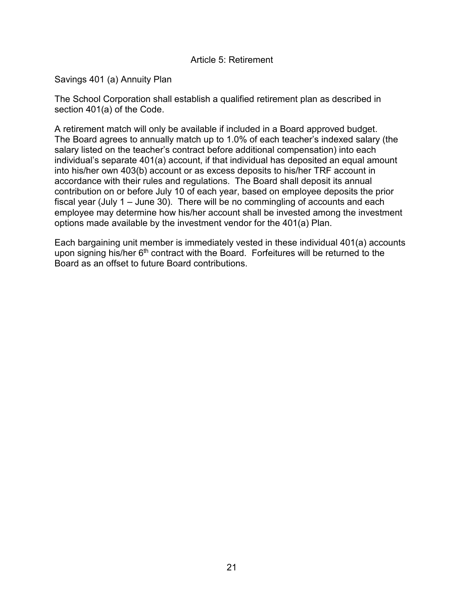#### Article 5: Retirement

<span id="page-20-0"></span>Savings 401 (a) Annuity Plan

The School Corporation shall establish a qualified retirement plan as described in section 401(a) of the Code.

A retirement match will only be available if included in a Board approved budget. The Board agrees to annually match up to 1.0% of each teacher's indexed salary (the salary listed on the teacher's contract before additional compensation) into each individual's separate 401(a) account, if that individual has deposited an equal amount into his/her own 403(b) account or as excess deposits to his/her TRF account in accordance with their rules and regulations. The Board shall deposit its annual contribution on or before July 10 of each year, based on employee deposits the prior fiscal year (July 1 – June 30). There will be no commingling of accounts and each employee may determine how his/her account shall be invested among the investment options made available by the investment vendor for the 401(a) Plan.

Each bargaining unit member is immediately vested in these individual 401(a) accounts upon signing his/her 6<sup>th</sup> contract with the Board. Forfeitures will be returned to the Board as an offset to future Board contributions.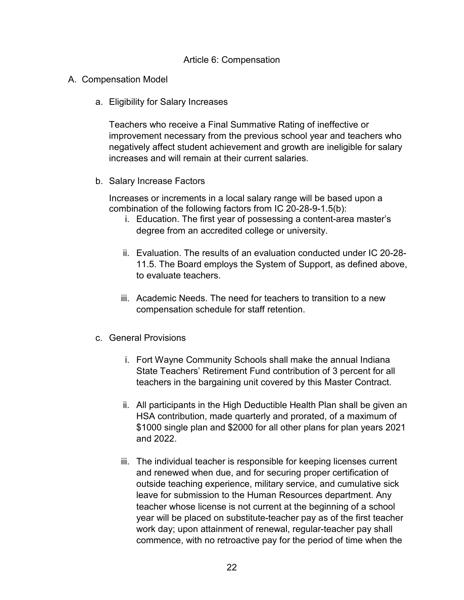#### Article 6: Compensation

- <span id="page-21-2"></span><span id="page-21-1"></span><span id="page-21-0"></span>A. Compensation Model
	- a. Eligibility for Salary Increases

Teachers who receive a Final Summative Rating of ineffective or improvement necessary from the previous school year and teachers who negatively affect student achievement and growth are ineligible for salary increases and will remain at their current salaries.

<span id="page-21-3"></span>b. Salary Increase Factors

Increases or increments in a local salary range will be based upon a combination of the following factors from IC 20-28-9-1.5(b):

- i. Education. The first year of possessing a content-area master's degree from an accredited college or university.
- ii. Evaluation. The results of an evaluation conducted under IC 20-28- 11.5. The Board employs the System of Support, as defined above, to evaluate teachers.
- iii. Academic Needs. The need for teachers to transition to a new compensation schedule for staff retention.
- <span id="page-21-4"></span>c. General Provisions
	- i. Fort Wayne Community Schools shall make the annual Indiana State Teachers' Retirement Fund contribution of 3 percent for all teachers in the bargaining unit covered by this Master Contract.
	- ii. All participants in the High Deductible Health Plan shall be given an HSA contribution, made quarterly and prorated, of a maximum of \$1000 single plan and \$2000 for all other plans for plan years 2021 and 2022.
	- iii. The individual teacher is responsible for keeping licenses current and renewed when due, and for securing proper certification of outside teaching experience, military service, and cumulative sick leave for submission to the Human Resources department. Any teacher whose license is not current at the beginning of a school year will be placed on substitute-teacher pay as of the first teacher work day; upon attainment of renewal, regular-teacher pay shall commence, with no retroactive pay for the period of time when the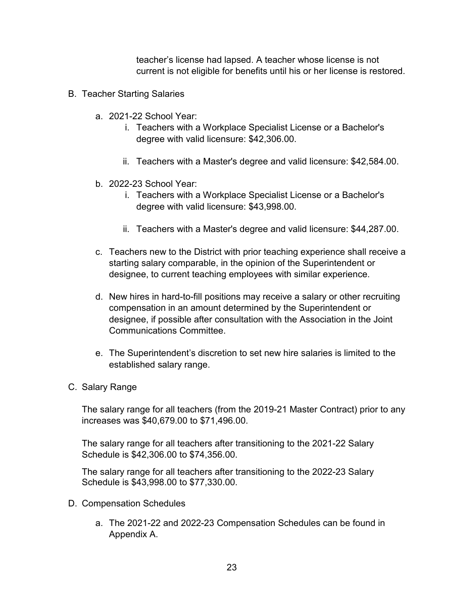teacher's license had lapsed. A teacher whose license is not current is not eligible for benefits until his or her license is restored.

- <span id="page-22-0"></span>B. Teacher Starting Salaries
	- a. 2021-22 School Year:
		- i. Teachers with a Workplace Specialist License or a Bachelor's degree with valid licensure: \$42,306.00.
		- ii. Teachers with a Master's degree and valid licensure: \$42,584.00.
	- b. 2022-23 School Year:
		- i. Teachers with a Workplace Specialist License or a Bachelor's degree with valid licensure: \$43,998.00.
		- ii. Teachers with a Master's degree and valid licensure: \$44,287.00.
	- c. Teachers new to the District with prior teaching experience shall receive a starting salary comparable, in the opinion of the Superintendent or designee, to current teaching employees with similar experience.
	- d. New hires in hard-to-fill positions may receive a salary or other recruiting compensation in an amount determined by the Superintendent or designee, if possible after consultation with the Association in the Joint Communications Committee.
	- e. The Superintendent's discretion to set new hire salaries is limited to the established salary range.
- <span id="page-22-1"></span>C. Salary Range

The salary range for all teachers (from the 2019-21 Master Contract) prior to any increases was \$40,679.00 to \$71,496.00.

The salary range for all teachers after transitioning to the 2021-22 Salary Schedule is \$42,306.00 to \$74,356.00.

The salary range for all teachers after transitioning to the 2022-23 Salary Schedule is \$43,998.00 to \$77,330.00.

- <span id="page-22-2"></span>D. Compensation Schedules
	- a. The 2021-22 and 2022-23 Compensation Schedules can be found in Appendix A.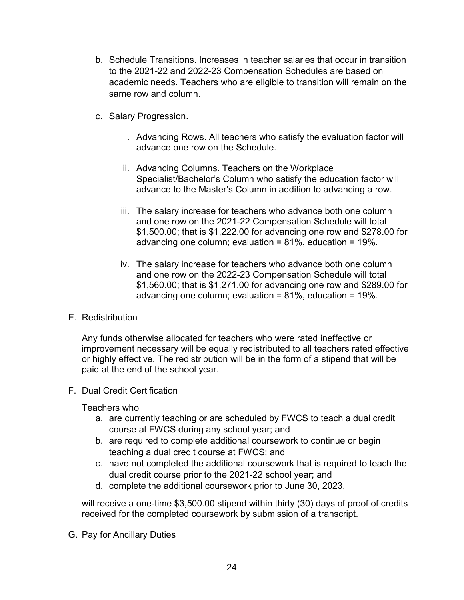- b. Schedule Transitions. Increases in teacher salaries that occur in transition to the 2021-22 and 2022-23 Compensation Schedules are based on academic needs. Teachers who are eligible to transition will remain on the same row and column.
- c. Salary Progression.
	- i. Advancing Rows. All teachers who satisfy the evaluation factor will advance one row on the Schedule.
	- ii. Advancing Columns. Teachers on the Workplace Specialist/Bachelor's Column who satisfy the education factor will advance to the Master's Column in addition to advancing a row.
	- iii. The salary increase for teachers who advance both one column and one row on the 2021-22 Compensation Schedule will total \$1,500.00; that is \$1,222.00 for advancing one row and \$278.00 for advancing one column; evaluation = 81%, education = 19%.
	- iv. The salary increase for teachers who advance both one column and one row on the 2022-23 Compensation Schedule will total \$1,560.00; that is \$1,271.00 for advancing one row and \$289.00 for advancing one column; evaluation = 81%, education = 19%.
- <span id="page-23-0"></span>E. Redistribution

Any funds otherwise allocated for teachers who were rated ineffective or improvement necessary will be equally redistributed to all teachers rated effective or highly effective. The redistribution will be in the form of a stipend that will be paid at the end of the school year.

<span id="page-23-1"></span>F. Dual Credit Certification

Teachers who

- a. are currently teaching or are scheduled by FWCS to teach a dual credit course at FWCS during any school year; and
- b. are required to complete additional coursework to continue or begin teaching a dual credit course at FWCS; and
- c. have not completed the additional coursework that is required to teach the dual credit course prior to the 2021-22 school year; and
- d. complete the additional coursework prior to June 30, 2023.

will receive a one-time \$3,500.00 stipend within thirty (30) days of proof of credits received for the completed coursework by submission of a transcript.

<span id="page-23-2"></span>G. Pay for Ancillary Duties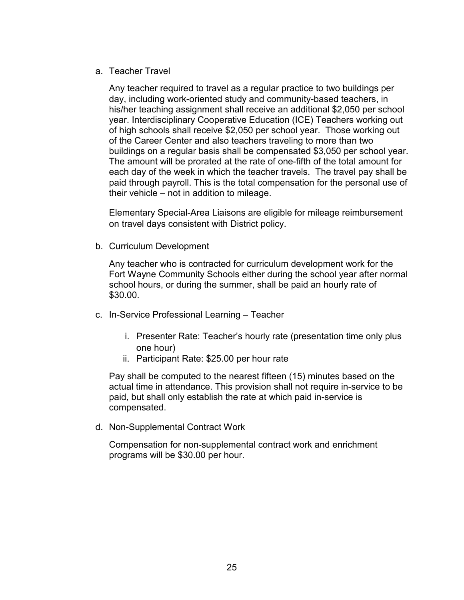#### <span id="page-24-0"></span>a. Teacher Travel

Any teacher required to travel as a regular practice to two buildings per day, including work-oriented study and community-based teachers, in his/her teaching assignment shall receive an additional \$2,050 per school year. Interdisciplinary Cooperative Education (ICE) Teachers working out of high schools shall receive \$2,050 per school year. Those working out of the Career Center and also teachers traveling to more than two buildings on a regular basis shall be compensated \$3,050 per school year. The amount will be prorated at the rate of one-fifth of the total amount for each day of the week in which the teacher travels. The travel pay shall be paid through payroll. This is the total compensation for the personal use of their vehicle – not in addition to mileage.

Elementary Special-Area Liaisons are eligible for mileage reimbursement on travel days consistent with District policy.

<span id="page-24-1"></span>b. Curriculum Development

Any teacher who is contracted for curriculum development work for the Fort Wayne Community Schools either during the school year after normal school hours, or during the summer, shall be paid an hourly rate of \$30.00.

- <span id="page-24-3"></span><span id="page-24-2"></span>c. In-Service Professional Learning – Teacher
	- i. Presenter Rate: Teacher's hourly rate (presentation time only plus one hour)
	- ii. Participant Rate: \$25.00 per hour rate

<span id="page-24-4"></span>Pay shall be computed to the nearest fifteen (15) minutes based on the actual time in attendance. This provision shall not require in-service to be paid, but shall only establish the rate at which paid in-service is compensated.

<span id="page-24-5"></span>d. Non-Supplemental Contract Work

Compensation for non-supplemental contract work and enrichment programs will be \$30.00 per hour.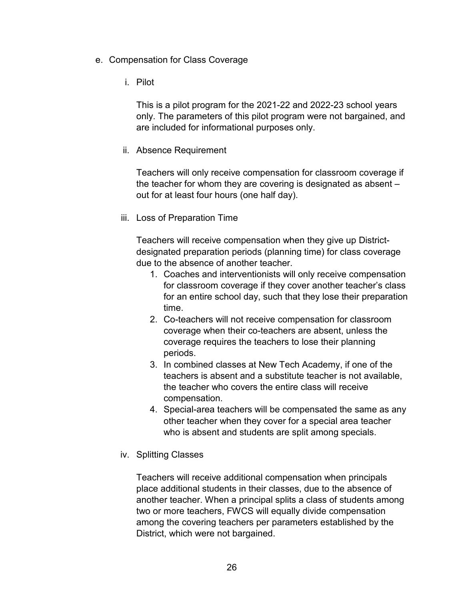- <span id="page-25-0"></span>e. Compensation for Class Coverage
	- i. Pilot

This is a pilot program for the 2021-22 and 2022-23 school years only. The parameters of this pilot program were not bargained, and are included for informational purposes only.

ii. Absence Requirement

Teachers will only receive compensation for classroom coverage if the teacher for whom they are covering is designated as absent – out for at least four hours (one half day).

iii. Loss of Preparation Time

Teachers will receive compensation when they give up Districtdesignated preparation periods (planning time) for class coverage due to the absence of another teacher.

- 1. Coaches and interventionists will only receive compensation for classroom coverage if they cover another teacher's class for an entire school day, such that they lose their preparation time.
- 2. Co-teachers will not receive compensation for classroom coverage when their co-teachers are absent, unless the coverage requires the teachers to lose their planning periods.
- 3. In combined classes at New Tech Academy, if one of the teachers is absent and a substitute teacher is not available, the teacher who covers the entire class will receive compensation.
- 4. Special-area teachers will be compensated the same as any other teacher when they cover for a special area teacher who is absent and students are split among specials.
- iv. Splitting Classes

Teachers will receive additional compensation when principals place additional students in their classes, due to the absence of another teacher. When a principal splits a class of students among two or more teachers, FWCS will equally divide compensation among the covering teachers per parameters established by the District, which were not bargained.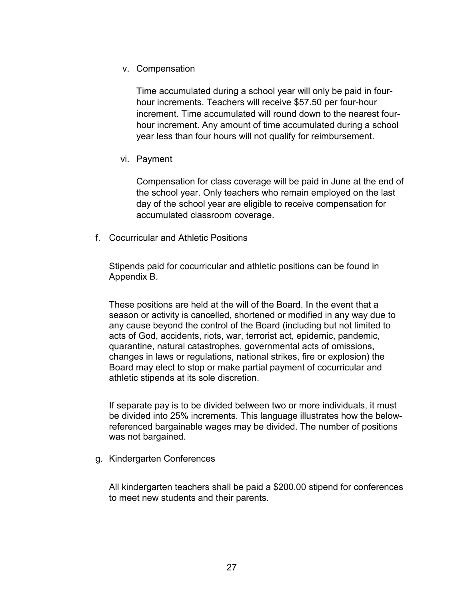v. Compensation

Time accumulated during a school year will only be paid in fourhour increments. Teachers will receive \$57.50 per four-hour increment. Time accumulated will round down to the nearest fourhour increment. Any amount of time accumulated during a school year less than four hours will not qualify for reimbursement.

vi. Payment

Compensation for class coverage will be paid in June at the end of the school year. Only teachers who remain employed on the last day of the school year are eligible to receive compensation for accumulated classroom coverage.

<span id="page-26-0"></span>f. Cocurricular and Athletic Positions

Stipends paid for cocurricular and athletic positions can be found in Appendix B.

These positions are held at the will of the Board. In the event that a season or activity is cancelled, shortened or modified in any way due to any cause beyond the control of the Board (including but not limited to acts of God, accidents, riots, war, terrorist act, epidemic, pandemic, quarantine, natural catastrophes, governmental acts of omissions, changes in laws or regulations, national strikes, fire or explosion) the Board may elect to stop or make partial payment of cocurricular and athletic stipends at its sole discretion.

If separate pay is to be divided between two or more individuals, it must be divided into 25% increments. This language illustrates how the belowreferenced bargainable wages may be divided. The number of positions was not bargained.

<span id="page-26-1"></span>g. Kindergarten Conferences

All kindergarten teachers shall be paid a \$200.00 stipend for conferences to meet new students and their parents.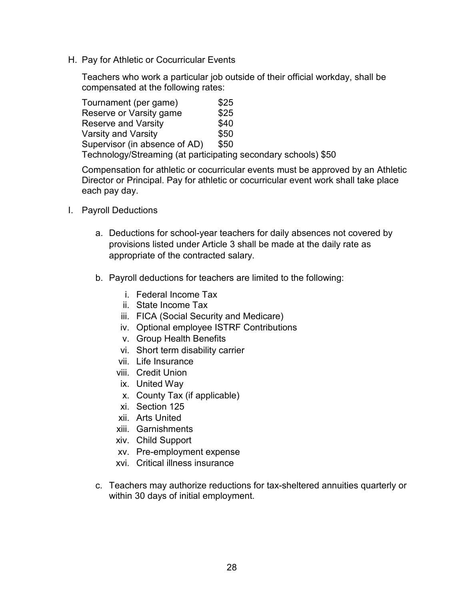<span id="page-27-0"></span>H. Pay for Athletic or Cocurricular Events

Teachers who work a particular job outside of their official workday, shall be compensated at the following rates:

| Tournament (per game)                                          | \$25 |
|----------------------------------------------------------------|------|
| Reserve or Varsity game                                        | \$25 |
| <b>Reserve and Varsity</b>                                     | \$40 |
| <b>Varsity and Varsity</b>                                     | \$50 |
| Supervisor (in absence of AD)                                  | \$50 |
| Technology/Streaming (at participating secondary schools) \$50 |      |

Compensation for athletic or cocurricular events must be approved by an Athletic Director or Principal. Pay for athletic or cocurricular event work shall take place each pay day.

- <span id="page-27-1"></span>I. Payroll Deductions
	- a. Deductions for school-year teachers for daily absences not covered by provisions listed under Article 3 shall be made at the daily rate as appropriate of the contracted salary.
	- b. Payroll deductions for teachers are limited to the following:
		- i. Federal Income Tax
		- ii. State Income Tax
		- iii. FICA (Social Security and Medicare)
		- iv. Optional employee ISTRF Contributions
		- v. Group Health Benefits
		- vi. Short term disability carrier
		- vii. Life Insurance
		- viii. Credit Union
		- ix. United Way
		- x. County Tax (if applicable)
		- xi. Section 125
		- xii. Arts United
		- xiii. Garnishments
		- xiv. Child Support
		- xv. Pre-employment expense
		- xvi. Critical illness insurance
	- c. Teachers may authorize reductions for tax-sheltered annuities quarterly or within 30 days of initial employment.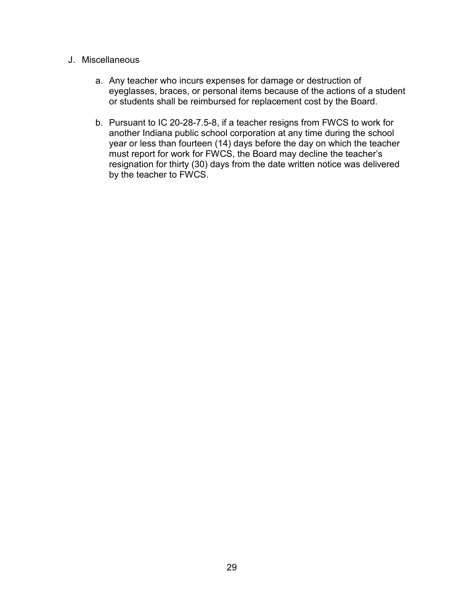#### <span id="page-28-0"></span>J. Miscellaneous

- a. Any teacher who incurs expenses for damage or destruction of eyeglasses, braces, or personal items because of the actions of a student or students shall be reimbursed for replacement cost by the Board.
- b. Pursuant to IC 20-28-7.5-8, if a teacher resigns from FWCS to work for another Indiana public school corporation at any time during the school year or less than fourteen (14) days before the day on which the teacher must report for work for FWCS, the Board may decline the teacher's resignation for thirty (30) days from the date written notice was delivered by the teacher to FWCS.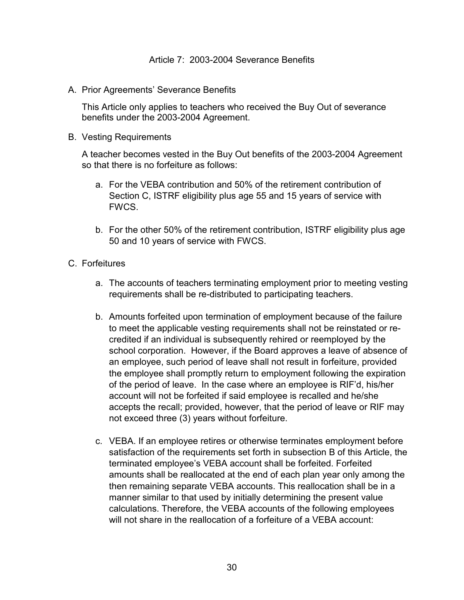<span id="page-29-1"></span><span id="page-29-0"></span>A. Prior Agreements' Severance Benefits

This Article only applies to teachers who received the Buy Out of severance benefits under the 2003-2004 Agreement.

<span id="page-29-2"></span>B. Vesting Requirements

A teacher becomes vested in the Buy Out benefits of the 2003-2004 Agreement so that there is no forfeiture as follows:

- a. For the VEBA contribution and 50% of the retirement contribution of Section C, ISTRF eligibility plus age 55 and 15 years of service with FWCS.
- b. For the other 50% of the retirement contribution, ISTRF eligibility plus age 50 and 10 years of service with FWCS.
- <span id="page-29-3"></span>C. Forfeitures
	- a. The accounts of teachers terminating employment prior to meeting vesting requirements shall be re-distributed to participating teachers.
	- b. Amounts forfeited upon termination of employment because of the failure to meet the applicable vesting requirements shall not be reinstated or recredited if an individual is subsequently rehired or reemployed by the school corporation. However, if the Board approves a leave of absence of an employee, such period of leave shall not result in forfeiture, provided the employee shall promptly return to employment following the expiration of the period of leave. In the case where an employee is RIF'd, his/her account will not be forfeited if said employee is recalled and he/she accepts the recall; provided, however, that the period of leave or RIF may not exceed three (3) years without forfeiture.
	- c. VEBA. If an employee retires or otherwise terminates employment before satisfaction of the requirements set forth in subsection B of this Article, the terminated employee's VEBA account shall be forfeited. Forfeited amounts shall be reallocated at the end of each plan year only among the then remaining separate VEBA accounts. This reallocation shall be in a manner similar to that used by initially determining the present value calculations. Therefore, the VEBA accounts of the following employees will not share in the reallocation of a forfeiture of a VEBA account: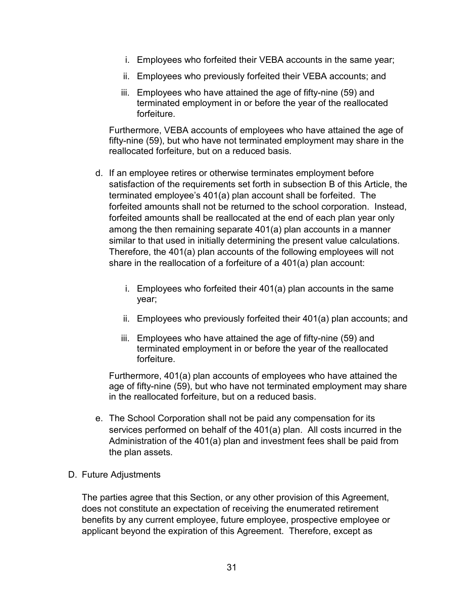- i. Employees who forfeited their VEBA accounts in the same year;
- ii. Employees who previously forfeited their VEBA accounts; and
- iii. Employees who have attained the age of fifty-nine (59) and terminated employment in or before the year of the reallocated forfeiture.

Furthermore, VEBA accounts of employees who have attained the age of fifty-nine (59), but who have not terminated employment may share in the reallocated forfeiture, but on a reduced basis.

- d. If an employee retires or otherwise terminates employment before satisfaction of the requirements set forth in subsection B of this Article, the terminated employee's 401(a) plan account shall be forfeited. The forfeited amounts shall not be returned to the school corporation. Instead, forfeited amounts shall be reallocated at the end of each plan year only among the then remaining separate 401(a) plan accounts in a manner similar to that used in initially determining the present value calculations. Therefore, the 401(a) plan accounts of the following employees will not share in the reallocation of a forfeiture of a 401(a) plan account:
	- i. Employees who forfeited their 401(a) plan accounts in the same year;
	- ii. Employees who previously forfeited their 401(a) plan accounts; and
	- iii. Employees who have attained the age of fifty-nine (59) and terminated employment in or before the year of the reallocated forfeiture.

Furthermore, 401(a) plan accounts of employees who have attained the age of fifty-nine (59), but who have not terminated employment may share in the reallocated forfeiture, but on a reduced basis.

- e. The School Corporation shall not be paid any compensation for its services performed on behalf of the 401(a) plan. All costs incurred in the Administration of the 401(a) plan and investment fees shall be paid from the plan assets.
- <span id="page-30-0"></span>D. Future Adjustments

The parties agree that this Section, or any other provision of this Agreement, does not constitute an expectation of receiving the enumerated retirement benefits by any current employee, future employee, prospective employee or applicant beyond the expiration of this Agreement. Therefore, except as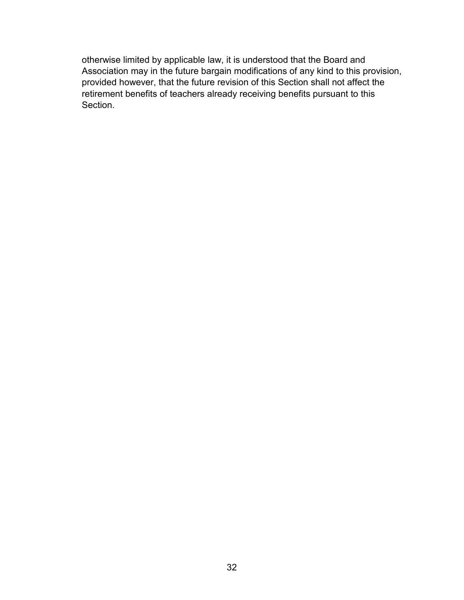otherwise limited by applicable law, it is understood that the Board and Association may in the future bargain modifications of any kind to this provision, provided however, that the future revision of this Section shall not affect the retirement benefits of teachers already receiving benefits pursuant to this Section.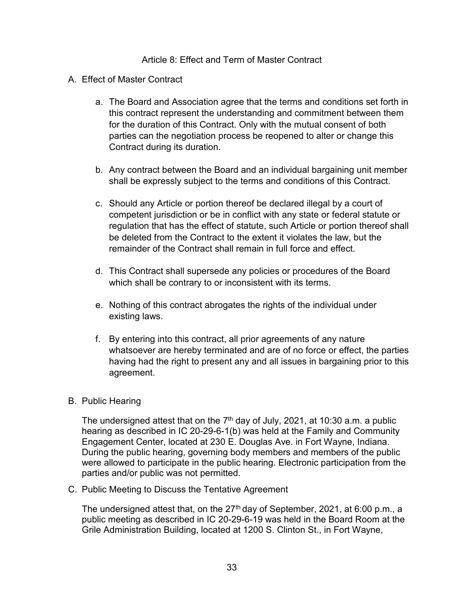#### Article 8: Effect and Term of Master Contract

- <span id="page-32-1"></span><span id="page-32-0"></span>A. Effect of Master Contract
	- a. The Board and Association agree that the terms and conditions set forth in this contract represent the understanding and commitment between them for the duration of this Contract. Only with the mutual consent of both parties can the negotiation process be reopened to alter or change this Contract during its duration.
	- b. Any contract between the Board and an individual bargaining unit member shall be expressly subject to the terms and conditions of this Contract.
	- c. Should any Article or portion thereof be declared illegal by a court of competent jurisdiction or be in conflict with any state or federal statute or regulation that has the effect of statute, such Article or portion thereof shall be deleted from the Contract to the extent it violates the law, but the remainder of the Contract shall remain in full force and effect.
	- d. This Contract shall supersede any policies or procedures of the Board which shall be contrary to or inconsistent with its terms.
	- e. Nothing of this contract abrogates the rights of the individual under existing laws.
	- f. By entering into this contract, all prior agreements of any nature whatsoever are hereby terminated and are of no force or effect, the parties having had the right to present any and all issues in bargaining prior to this agreement.

#### <span id="page-32-2"></span>B. Public Hearing

The undersigned attest that on the  $7<sup>th</sup>$  day of July, 2021, at 10:30 a.m. a public hearing as described in IC 20-29-6-1(b) was held at the Family and Community Engagement Center, located at 230 E. Douglas Ave. in Fort Wayne, Indiana. During the public hearing, governing body members and members of the public were allowed to participate in the public hearing. Electronic participation from the parties and/or public was not permitted.

<span id="page-32-3"></span>C. Public Meeting to Discuss the Tentative Agreement

The undersigned attest that, on the  $27<sup>th</sup>$  day of September, 2021, at 6:00 p.m., a public meeting as described in IC 20-29-6-19 was held in the Board Room at the Grile Administration Building, located at 1200 S. Clinton St., in Fort Wayne,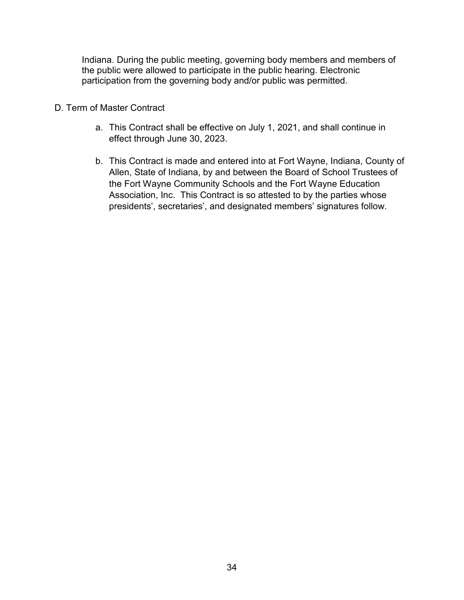Indiana. During the public meeting, governing body members and members of the public were allowed to participate in the public hearing. Electronic participation from the governing body and/or public was permitted.

- <span id="page-33-0"></span>D. Term of Master Contract
	- a. This Contract shall be effective on July 1, 2021, and shall continue in effect through June 30, 2023.
	- b. This Contract is made and entered into at Fort Wayne, Indiana, County of Allen, State of Indiana, by and between the Board of School Trustees of the Fort Wayne Community Schools and the Fort Wayne Education Association, Inc. This Contract is so attested to by the parties whose presidents', secretaries', and designated members' signatures follow.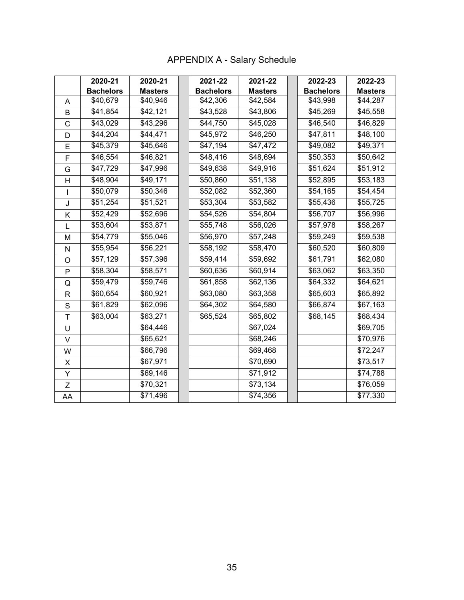# APPENDIX A - Salary Schedule

<span id="page-34-0"></span>

|              | 2020-21          | 2020-21        | 2021-22          | 2021-22        | 2022-23          | 2022-23        |
|--------------|------------------|----------------|------------------|----------------|------------------|----------------|
|              | <b>Bachelors</b> | <b>Masters</b> | <b>Bachelors</b> | <b>Masters</b> | <b>Bachelors</b> | <b>Masters</b> |
| A            | \$40,679         | \$40,946       | \$42,306         | \$42,584       | \$43,998         | \$44,287       |
| B            | \$41,854         | \$42,121       | \$43,528         | \$43,806       | \$45,269         | \$45,558       |
| C            | \$43,029         | \$43,296       | \$44,750         | \$45,028       | \$46,540         | \$46,829       |
| D            | \$44,204         | \$44,471       | \$45,972         | \$46,250       | \$47,811         | \$48,100       |
| E            | \$45,379         | \$45,646       | \$47,194         | \$47,472       | \$49,082         | \$49,371       |
| F            | \$46,554         | \$46,821       | \$48,416         | \$48,694       | \$50,353         | \$50,642       |
| G            | \$47,729         | \$47,996       | \$49,638         | \$49,916       | \$51,624         | \$51,912       |
| H            | \$48,904         | \$49,171       | \$50,860         | \$51,138       | \$52,895         | \$53,183       |
|              | \$50,079         | \$50,346       | \$52,082         | \$52,360       | \$54,165         | \$54,454       |
| J            | \$51,254         | \$51,521       | \$53,304         | \$53,582       | \$55,436         | \$55,725       |
| K            | \$52,429         | \$52,696       | \$54,526         | \$54,804       | \$56,707         | \$56,996       |
| L            | \$53,604         | \$53,871       | \$55,748         | \$56,026       | \$57,978         | \$58,267       |
| M            | \$54,779         | \$55,046       | \$56,970         | \$57,248       | \$59,249         | \$59,538       |
| N            | \$55,954         | \$56,221       | \$58,192         | \$58,470       | \$60,520         | \$60,809       |
| O            | \$57,129         | \$57,396       | \$59,414         | \$59,692       | \$61,791         | \$62,080       |
| P            | \$58,304         | \$58,571       | \$60,636         | \$60,914       | \$63,062         | \$63,350       |
| Q            | \$59,479         | \$59,746       | \$61,858         | \$62,136       | \$64,332         | \$64,621       |
| $\mathsf{R}$ | \$60,654         | \$60,921       | \$63,080         | \$63,358       | \$65,603         | \$65,892       |
| S            | \$61,829         | \$62,096       | \$64,302         | \$64,580       | \$66,874         | \$67,163       |
| Τ            | \$63,004         | \$63,271       | \$65,524         | \$65,802       | \$68,145         | \$68,434       |
| U            |                  | \$64,446       |                  | \$67,024       |                  | \$69,705       |
| V            |                  | \$65,621       |                  | \$68,246       |                  | \$70,976       |
| W            |                  | \$66,796       |                  | \$69,468       |                  | \$72,247       |
| X            |                  | \$67,971       |                  | \$70,690       |                  | \$73,517       |
| Y            |                  | \$69,146       |                  | \$71,912       |                  | \$74,788       |
| Z            |                  | \$70,321       |                  | \$73,134       |                  | \$76,059       |
| AA           |                  | \$71,496       |                  | \$74,356       |                  | \$77,330       |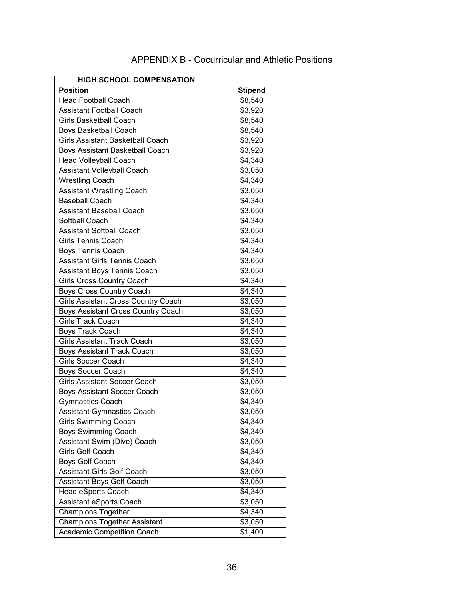# APPENDIX B - Cocurricular and Athletic Positions

<span id="page-35-0"></span>

| <b>HIGH SCHOOL COMPENSATION</b>            |                |
|--------------------------------------------|----------------|
| <b>Position</b>                            | <b>Stipend</b> |
| <b>Head Football Coach</b>                 | \$8,540        |
| <b>Assistant Football Coach</b>            | \$3,920        |
| <b>Girls Basketball Coach</b>              | \$8,540        |
| <b>Boys Basketball Coach</b>               | \$8,540        |
| <b>Girls Assistant Basketball Coach</b>    | \$3,920        |
| Boys Assistant Basketball Coach            | \$3,920        |
| <b>Head Volleyball Coach</b>               | \$4,340        |
| Assistant Volleyball Coach                 | \$3,050        |
| <b>Wrestling Coach</b>                     | \$4,340        |
| <b>Assistant Wrestling Coach</b>           | \$3,050        |
| <b>Baseball Coach</b>                      | \$4,340        |
| <b>Assistant Baseball Coach</b>            | \$3,050        |
| Softball Coach                             | \$4,340        |
| <b>Assistant Softball Coach</b>            | \$3,050        |
| <b>Girls Tennis Coach</b>                  | \$4,340        |
| Boys Tennis Coach                          | \$4,340        |
| <b>Assistant Girls Tennis Coach</b>        | \$3,050        |
| Assistant Boys Tennis Coach                | \$3,050        |
| <b>Girls Cross Country Coach</b>           | \$4,340        |
| <b>Boys Cross Country Coach</b>            | \$4,340        |
| <b>Girls Assistant Cross Country Coach</b> | \$3,050        |
| Boys Assistant Cross Country Coach         | \$3,050        |
| <b>Girls Track Coach</b>                   | $\sqrt{4,340}$ |
| <b>Boys Track Coach</b>                    | \$4,340        |
| <b>Girls Assistant Track Coach</b>         | \$3,050        |
| Boys Assistant Track Coach                 | \$3,050        |
| Girls Soccer Coach                         | \$4,340        |
| Boys Soccer Coach                          | \$4,340        |
| <b>Girls Assistant Soccer Coach</b>        | \$3,050        |
| Boys Assistant Soccer Coach                | \$3,050        |
| Gymnastics Coach                           | \$4,340        |
| <b>Assistant Gymnastics Coach</b>          | \$3,050        |
| Girls Swimming Coach                       | \$4,340        |
| <b>Boys Swimming Coach</b>                 | \$4,340        |
| Assistant Swim (Dive) Coach                | \$3,050        |
| Girls Golf Coach                           | $\sqrt{4,340}$ |
| Boys Golf Coach                            | $\sqrt{4,340}$ |
| <b>Assistant Girls Golf Coach</b>          | \$3,050        |
| Assistant Boys Golf Coach                  | \$3,050        |
| Head eSports Coach                         | \$4,340        |
| Assistant eSports Coach                    | \$3,050        |
| <b>Champions Together</b>                  | \$4,340        |
| <b>Champions Together Assistant</b>        | \$3,050        |
| <b>Academic Competition Coach</b>          | \$1,400        |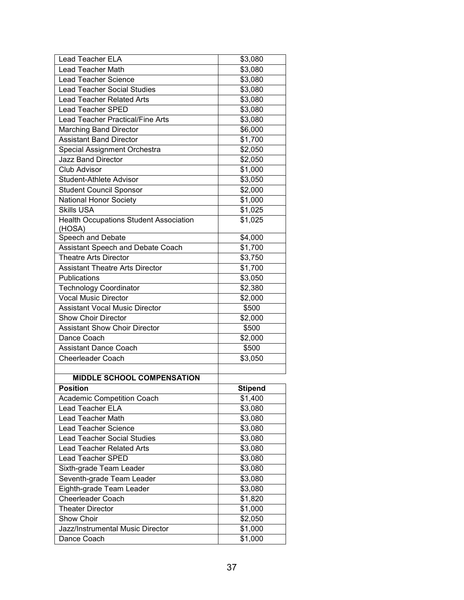| <b>Lead Teacher ELA</b>                       | \$3,080        |
|-----------------------------------------------|----------------|
| <b>Lead Teacher Math</b>                      | \$3,080        |
| <b>Lead Teacher Science</b>                   | \$3,080        |
| <b>Lead Teacher Social Studies</b>            | \$3,080        |
| <b>Lead Teacher Related Arts</b>              | \$3,080        |
| <b>Lead Teacher SPED</b>                      | \$3,080        |
| Lead Teacher Practical/Fine Arts              | \$3,080        |
| <b>Marching Band Director</b>                 | \$6,000        |
| <b>Assistant Band Director</b>                | \$1,700        |
| Special Assignment Orchestra                  | \$2,050        |
| <b>Jazz Band Director</b>                     | \$2,050        |
| <b>Club Advisor</b>                           | \$1,000        |
| <b>Student-Athlete Advisor</b>                | \$3,050        |
| Student Council Sponsor                       | \$2,000        |
| <b>National Honor Society</b>                 | \$1,000        |
| <b>Skills USA</b>                             | \$1,025        |
| <b>Health Occupations Student Association</b> | \$1,025        |
| (HOSA)                                        |                |
| Speech and Debate                             | \$4,000        |
| Assistant Speech and Debate Coach             | \$1,700        |
| <b>Theatre Arts Director</b>                  | \$3,750        |
| <b>Assistant Theatre Arts Director</b>        | \$1,700        |
| Publications                                  | \$3,050        |
| <b>Technology Coordinator</b>                 | \$2,380        |
| <b>Vocal Music Director</b>                   | \$2,000        |
| <b>Assistant Vocal Music Director</b>         | \$500          |
| <b>Show Choir Director</b>                    | \$2,000        |
| <b>Assistant Show Choir Director</b>          | \$500          |
| Dance Coach                                   | \$2,000        |
| <b>Assistant Dance Coach</b>                  | \$500          |
| <b>Cheerleader Coach</b>                      | \$3,050        |
|                                               |                |
| <b>MIDDLE SCHOOL COMPENSATION</b>             |                |
| <b>Position</b>                               | <b>Stipend</b> |
| <b>Academic Competition Coach</b>             | \$1,400        |
| <b>Lead Teacher ELA</b>                       | \$3,080        |
| <b>Lead Teacher Math</b>                      | \$3,080        |
| <b>Lead Teacher Science</b>                   | \$3,080        |
| <b>Lead Teacher Social Studies</b>            | \$3,080        |
| <b>Lead Teacher Related Arts</b>              | \$3,080        |
| <b>Lead Teacher SPED</b>                      | \$3,080        |
| Sixth-grade Team Leader                       | \$3,080        |
| Seventh-grade Team Leader                     | \$3,080        |
| Eighth-grade Team Leader                      | \$3,080        |
| Cheerleader Coach                             | \$1,820        |
| <b>Theater Director</b>                       | \$1,000        |
| Show Choir                                    | \$2,050        |
| Jazz/Instrumental Music Director              | \$1,000        |
| Dance Coach                                   | \$1,000        |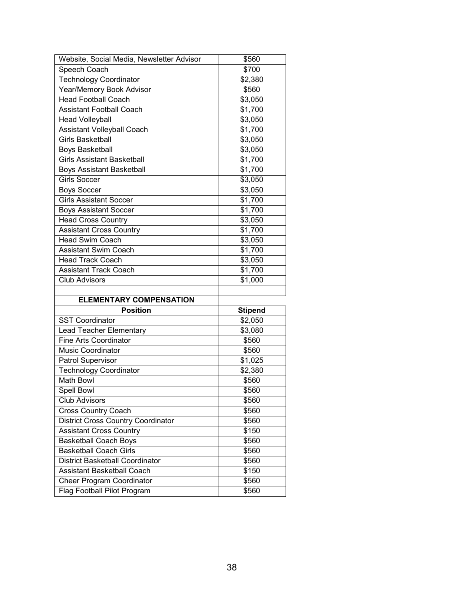| Website, Social Media, Newsletter Advisor | \$560              |
|-------------------------------------------|--------------------|
| Speech Coach                              | \$700              |
| <b>Technology Coordinator</b>             | \$2,380            |
| <b>Year/Memory Book Advisor</b>           | \$560              |
| <b>Head Football Coach</b>                | \$3,050            |
| <b>Assistant Football Coach</b>           | \$1,700            |
| <b>Head Volleyball</b>                    | \$3,050            |
| Assistant Volleyball Coach                | \$1,700            |
| <b>Girls Basketball</b>                   | \$3,050            |
| <b>Boys Basketball</b>                    | \$3,050            |
| <b>Girls Assistant Basketball</b>         | \$1,700            |
| <b>Boys Assistant Basketball</b>          | \$1,700            |
| <b>Girls Soccer</b>                       | $\frac{1}{1}3,050$ |
| <b>Boys Soccer</b>                        | \$3,050            |
| <b>Girls Assistant Soccer</b>             | \$1,700            |
| <b>Boys Assistant Soccer</b>              | \$1,700            |
| <b>Head Cross Country</b>                 | \$3,050            |
| <b>Assistant Cross Country</b>            | \$1,700            |
| <b>Head Swim Coach</b>                    | \$3,050            |
| <b>Assistant Swim Coach</b>               | \$1,700            |
| <b>Head Track Coach</b>                   | \$3,050            |
| <b>Assistant Track Coach</b>              | \$1,700            |
|                                           |                    |
| <b>Club Advisors</b>                      | \$1,000            |
|                                           |                    |
| <b>ELEMENTARY COMPENSATION</b>            |                    |
| <b>Position</b>                           | <b>Stipend</b>     |
| <b>SST Coordinator</b>                    | \$2,050            |
| <b>Lead Teacher Elementary</b>            | \$3,080            |
| <b>Fine Arts Coordinator</b>              | \$560              |
| <b>Music Coordinator</b>                  | \$560              |
| Patrol Supervisor                         | \$1,025            |
| <b>Technology Coordinator</b>             | \$2,380            |
| Math Bowl                                 | \$560              |
| <b>Spell Bowl</b>                         | \$560              |
| <b>Club Advisors</b>                      | \$560              |
| <b>Cross Country Coach</b>                | \$560              |
| <b>District Cross Country Coordinator</b> | \$560              |
| <b>Assistant Cross Country</b>            | \$150              |
| <b>Basketball Coach Boys</b>              | \$560              |
| <b>Basketball Coach Girls</b>             | \$560              |
| <b>District Basketball Coordinator</b>    | \$560              |
| <b>Assistant Basketball Coach</b>         | \$150              |
| Cheer Program Coordinator                 | \$560              |